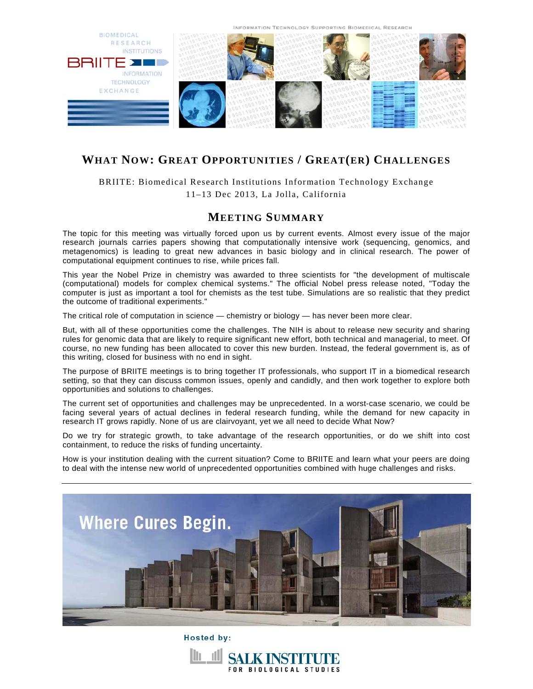

# **WHAT NOW: GREAT OPPORTUNITIES / GREAT(ER) CHALLENGES**

BRIITE: Biomedical Research Institutions Information Technology Exchange 11–13 Dec 2013, La Jolla, California

## **MEETING SUMMARY**

The topic for this meeting was virtually forced upon us by current events. Almost every issue of the major research journals carries papers showing that computationally intensive work (sequencing, genomics, and metagenomics) is leading to great new advances in basic biology and in clinical research. The power of computational equipment continues to rise, while prices fall.

This year the Nobel Prize in chemistry was awarded to three scientists for "the development of multiscale (computational) models for complex chemical systems." The official Nobel press release noted, "Today the computer is just as important a tool for chemists as the test tube. Simulations are so realistic that they predict the outcome of traditional experiments."

The critical role of computation in science — chemistry or biology — has never been more clear.

But, with all of these opportunities come the challenges. The NIH is about to release new security and sharing rules for genomic data that are likely to require significant new effort, both technical and managerial, to meet. Of course, no new funding has been allocated to cover this new burden. Instead, the federal government is, as of this writing, closed for business with no end in sight.

The purpose of BRIITE meetings is to bring together IT professionals, who support IT in a biomedical research setting, so that they can discuss common issues, openly and candidly, and then work together to explore both opportunities and solutions to challenges.

The current set of opportunities and challenges may be unprecedented. In a worst-case scenario, we could be facing several years of actual declines in federal research funding, while the demand for new capacity in research IT grows rapidly. None of us are clairvoyant, yet we all need to decide What Now?

Do we try for strategic growth, to take advantage of the research opportunities, or do we shift into cost containment, to reduce the risks of funding uncertainty.

How is your institution dealing with the current situation? Come to BRIITE and learn what your peers are doing to deal with the intense new world of unprecedented opportunities combined with huge challenges and risks.



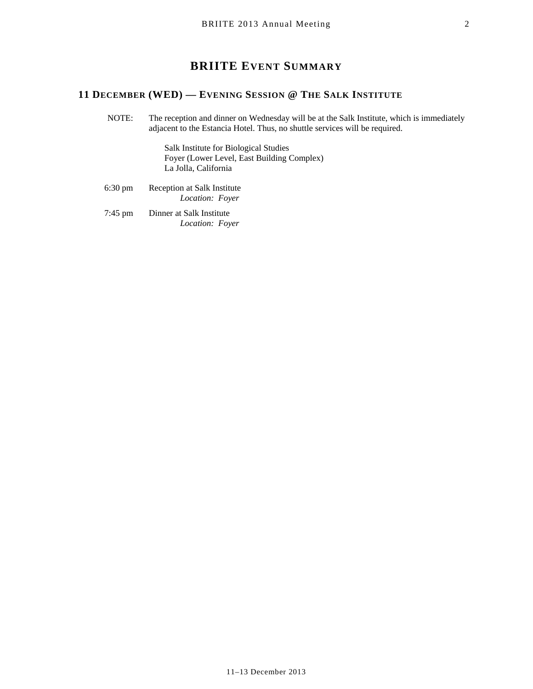## **BRIITE EVENT SUMMARY**

## **11 DECEMBER (WED) — EVENING SESSION @ THE SALK INSTITUTE**

 NOTE: The reception and dinner on Wednesday will be at the Salk Institute, which is immediately adjacent to the Estancia Hotel. Thus, no shuttle services will be required.

> Salk Institute for Biological Studies Foyer (Lower Level, East Building Complex) La Jolla, California

- 6:30 pm Reception at Salk Institute  *Location: Foyer*
- 7:45 pm Dinner at Salk Institute  *Location: Foyer*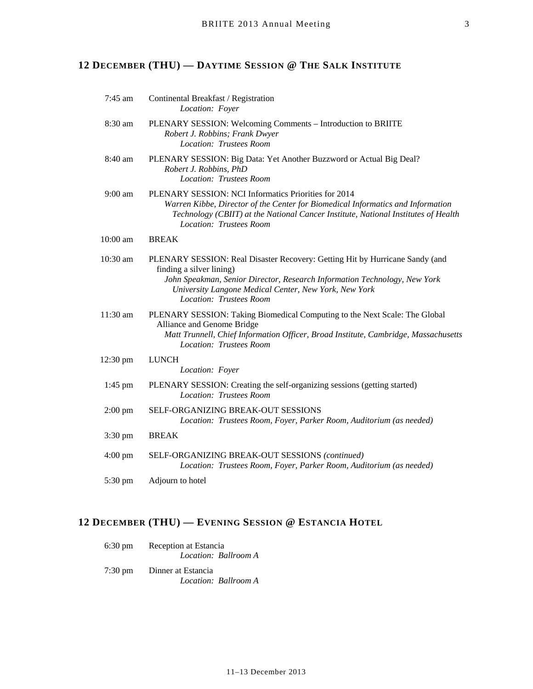# **12 DECEMBER (THU) — DAYTIME SESSION @ THE SALK INSTITUTE**

| $7:45$ am         | Continental Breakfast / Registration<br>Location: Foyer                                                                                                                                                                                                                   |
|-------------------|---------------------------------------------------------------------------------------------------------------------------------------------------------------------------------------------------------------------------------------------------------------------------|
| 8:30 am           | PLENARY SESSION: Welcoming Comments - Introduction to BRIITE<br>Robert J. Robbins; Frank Dwyer<br>Location: Trustees Room                                                                                                                                                 |
| 8:40 am           | PLENARY SESSION: Big Data: Yet Another Buzzword or Actual Big Deal?<br>Robert J. Robbins, PhD<br>Location: Trustees Room                                                                                                                                                  |
| $9:00$ am         | PLENARY SESSION: NCI Informatics Priorities for 2014<br>Warren Kibbe, Director of the Center for Biomedical Informatics and Information<br>Technology (CBIIT) at the National Cancer Institute, National Institutes of Health<br>Location: Trustees Room                  |
| 10:00 am          | <b>BREAK</b>                                                                                                                                                                                                                                                              |
| 10:30 am          | PLENARY SESSION: Real Disaster Recovery: Getting Hit by Hurricane Sandy (and<br>finding a silver lining)<br>John Speakman, Senior Director, Research Information Technology, New York<br>University Langone Medical Center, New York, New York<br>Location: Trustees Room |
| 11:30 am          | PLENARY SESSION: Taking Biomedical Computing to the Next Scale: The Global<br>Alliance and Genome Bridge<br>Matt Trunnell, Chief Information Officer, Broad Institute, Cambridge, Massachusetts<br>Location: Trustees Room                                                |
| 12:30 pm          | <b>LUNCH</b><br>Location: Foyer                                                                                                                                                                                                                                           |
| 1:45 pm           | PLENARY SESSION: Creating the self-organizing sessions (getting started)<br>Location: Trustees Room                                                                                                                                                                       |
| $2:00$ pm         | SELF-ORGANIZING BREAK-OUT SESSIONS<br>Location: Trustees Room, Foyer, Parker Room, Auditorium (as needed)                                                                                                                                                                 |
| 3:30 pm           | <b>BREAK</b>                                                                                                                                                                                                                                                              |
| $4:00 \text{ pm}$ | SELF-ORGANIZING BREAK-OUT SESSIONS (continued)<br>Location: Trustees Room, Foyer, Parker Room, Auditorium (as needed)                                                                                                                                                     |
| 5:30 pm           | Adjourn to hotel                                                                                                                                                                                                                                                          |

## **12 DECEMBER (THU) — EVENING SESSION @ ESTANCIA HOTEL**

| $6:30 \text{ pm}$ | Reception at Estancia<br>Location: Ballroom A |
|-------------------|-----------------------------------------------|
| $7:30 \text{ pm}$ | Dinner at Estancia<br>Location: Ballroom A    |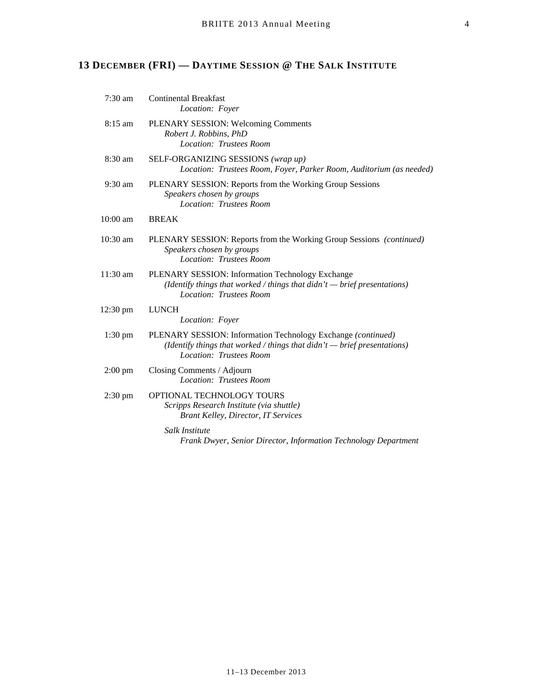# **13 DECEMBER (FRI) — DAYTIME SESSION @ THE SALK INSTITUTE**

| $7:30$ am          | <b>Continental Breakfast</b><br>Location: Foyer                                                                                                                          |
|--------------------|--------------------------------------------------------------------------------------------------------------------------------------------------------------------------|
| $8:15 \text{ am}$  | PLENARY SESSION: Welcoming Comments<br>Robert J. Robbins, PhD<br><b>Location: Trustees Room</b>                                                                          |
| 8:30 am            | SELF-ORGANIZING SESSIONS (wrap up)<br>Location: Trustees Room, Foyer, Parker Room, Auditorium (as needed)                                                                |
| $9:30$ am          | PLENARY SESSION: Reports from the Working Group Sessions<br>Speakers chosen by groups<br>Location: Trustees Room                                                         |
| 10:00 am           | <b>BREAK</b>                                                                                                                                                             |
| $10:30$ am         | PLENARY SESSION: Reports from the Working Group Sessions (continued)<br>Speakers chosen by groups<br>Location: Trustees Room                                             |
| 11:30 am           | PLENARY SESSION: Information Technology Exchange<br>(Identify things that worked / things that $d$ idn't $-$ brief presentations)<br>Location: Trustees Room             |
| $12:30 \text{ pm}$ | <b>LUNCH</b><br>Location: Foyer                                                                                                                                          |
| $1:30$ pm          | PLENARY SESSION: Information Technology Exchange (continued)<br>(Identify things that worked / things that $d$ idn't $-$ brief presentations)<br>Location: Trustees Room |
| $2:00$ pm          | Closing Comments / Adjourn<br>Location: Trustees Room                                                                                                                    |
| $2:30 \text{ pm}$  | OPTIONAL TECHNOLOGY TOURS<br>Scripps Research Institute (via shuttle)<br><b>Brant Kelley, Director, IT Services</b>                                                      |
|                    | Salk Institute<br>Frank Dwyer, Senior Director, Information Technology Department                                                                                        |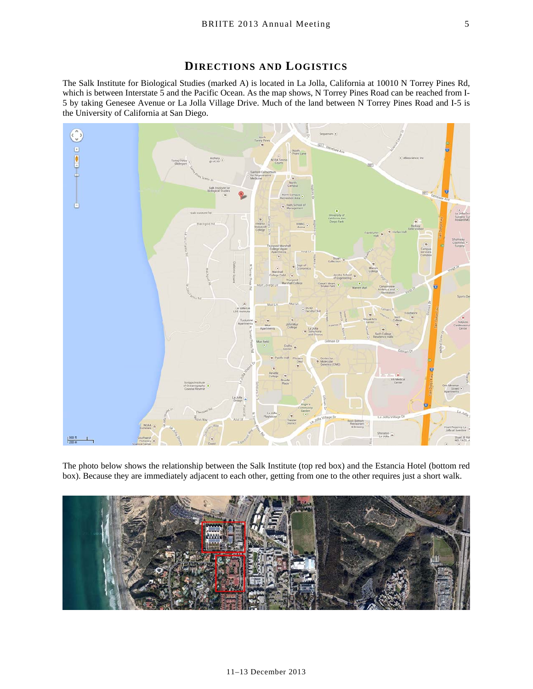## **DIRECTIONS AND LOGISTICS**

The Salk Institute for Biological Studies (marked A) is located in La Jolla, California at 10010 N Torrey Pines Rd, which is between Interstate 5 and the Pacific Ocean. As the map shows, N Torrey Pines Road can be reached from I-5 by taking Genesee Avenue or La Jolla Village Drive. Much of the land between N Torrey Pines Road and I-5 is the University of California at San Diego.



The photo below shows the relationship between the Salk Institute (top red box) and the Estancia Hotel (bottom red box). Because they are immediately adjacent to each other, getting from one to the other requires just a short walk.

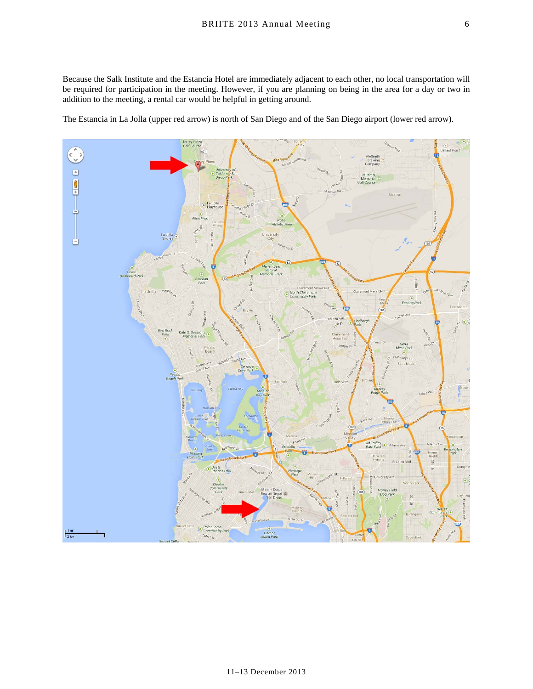Because the Salk Institute and the Estancia Hotel are immediately adjacent to each other, no local transportation will be required for participation in the meeting. However, if you are planning on being in the area for a day or two in addition to the meeting, a rental car would be helpful in getting around.

The Estancia in La Jolla (upper red arrow) is north of San Diego and of the San Diego airport (lower red arrow).

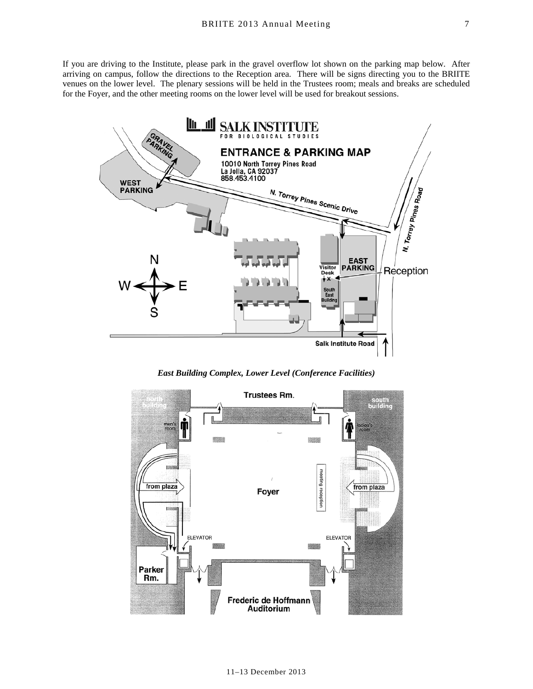If you are driving to the Institute, please park in the gravel overflow lot shown on the parking map below. After arriving on campus, follow the directions to the Reception area. There will be signs directing you to the BRIITE venues on the lower level. The plenary sessions will be held in the Trustees room; meals and breaks are scheduled for the Foyer, and the other meeting rooms on the lower level will be used for breakout sessions.



*East Building Complex, Lower Level (Conference Facilities)* 



11–13 December 2013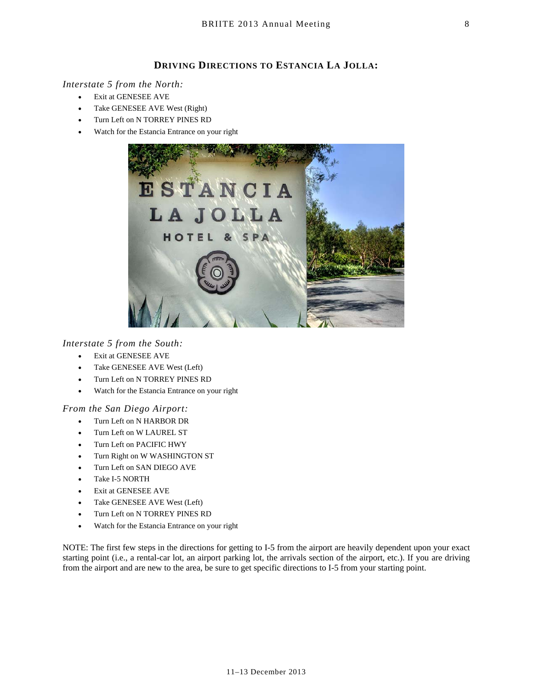#### **DRIVING DIRECTIONS TO ESTANCIA LA JOLLA:**

#### *Interstate 5 from the North:*

- Exit at GENESEE AVE
- Take GENESEE AVE West (Right)
- Turn Left on N TORREY PINES RD
- Watch for the Estancia Entrance on your right



#### *Interstate 5 from the South:*

- Exit at GENESEE AVE
- Take GENESEE AVE West (Left)
- Turn Left on N TORREY PINES RD
- Watch for the Estancia Entrance on your right

#### *From the San Diego Airport:*

- Turn Left on N HARBOR DR
- Turn Left on W LAUREL ST
- Turn Left on PACIFIC HWY
- Turn Right on W WASHINGTON ST
- Turn Left on SAN DIEGO AVE
- Take I-5 NORTH
- Exit at GENESEE AVE
- Take GENESEE AVE West (Left)
- Turn Left on N TORREY PINES RD
- Watch for the Estancia Entrance on your right

NOTE: The first few steps in the directions for getting to I-5 from the airport are heavily dependent upon your exact starting point (i.e., a rental-car lot, an airport parking lot, the arrivals section of the airport, etc.). If you are driving from the airport and are new to the area, be sure to get specific directions to I-5 from your starting point.